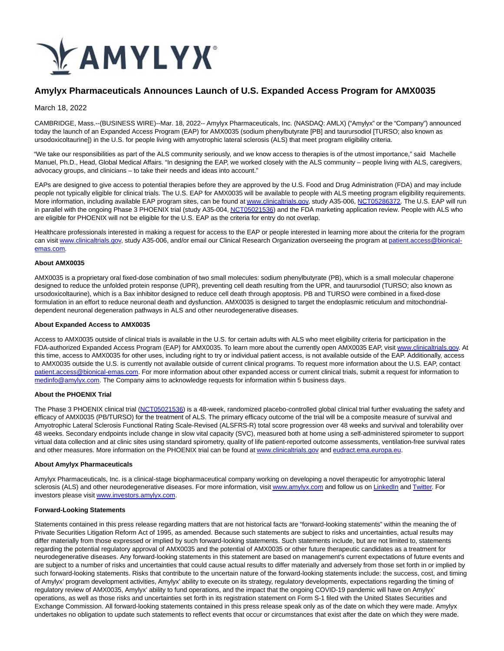

# **Amylyx Pharmaceuticals Announces Launch of U.S. Expanded Access Program for AMX0035**

March 18, 2022

CAMBRIDGE, Mass.--(BUSINESS WIRE)--Mar. 18, 2022-- Amylyx Pharmaceuticals, Inc. (NASDAQ: AMLX) ("Amylyx" or the "Company") announced today the launch of an Expanded Access Program (EAP) for AMX0035 (sodium phenylbutyrate [PB] and taurursodiol [TURSO; also known as ursodoxicoltaurine]) in the U.S. for people living with amyotrophic lateral sclerosis (ALS) that meet program eligibility criteria.

"We take our responsibilities as part of the ALS community seriously, and we know access to therapies is of the utmost importance," said Machelle Manuel, Ph.D., Head, Global Medical Affairs. "In designing the EAP, we worked closely with the ALS community – people living with ALS, caregivers, advocacy groups, and clinicians – to take their needs and ideas into account."

EAPs are designed to give access to potential therapies before they are approved by the U.S. Food and Drug Administration (FDA) and may include people not typically eligible for clinical trials. The U.S. EAP for AMX0035 will be available to people with ALS meeting program eligibility requirements. More information, including available EAP program sites, can be found a[t www.clinicaltrials.gov,](https://cts.businesswire.com/ct/CT?id=smartlink&url=http%3A%2F%2Fwww.clinicaltrials.gov%2F&esheet=52604961&newsitemid=20220318005225&lan=en-US&anchor=www.clinicaltrials.gov&index=1&md5=7b9dbf38a7ffcf1258eb9b60952b67f7) study A35-006, [NCT05286372.](https://cts.businesswire.com/ct/CT?id=smartlink&url=https%3A%2F%2Furldefense.com%2Fv3%2F__https%3A%2Fclinicaltrials.gov%2Fct2%2Fshow%2FNCT05286372%3Fterm%3DNCT05286372%26draw%3D2%26rank%3D1__%3B%21%21DlCMXiNAtWOc%212t_Ns1ZtJobkmh6E0Hss8ppWGdLoQ-Xs2T6NKnmnxD3cH-1AMiNYNBgQlLoo3Gv1d1fEy5eYxMKDo3nfk4UHmPurhvd1m2w%24&esheet=52604961&newsitemid=20220318005225&lan=en-US&anchor=NCT05286372&index=2&md5=b2950f74a1a9df3b882bede912240d22) The U.S. EAP will run in parallel with the ongoing Phase 3 PHOENIX trial (study A35-004[, NCT05021536\)](https://cts.businesswire.com/ct/CT?id=smartlink&url=https%3A%2F%2Fclinicaltrials.gov%2Fct2%2Fshow%2FNCT05021536&esheet=52604961&newsitemid=20220318005225&lan=en-US&anchor=NCT05021536&index=3&md5=90abc00036971427e4d6d598ef672d35) and the FDA marketing application review. People with ALS who are eligible for PHOENIX will not be eligible for the U.S. EAP as the criteria for entry do not overlap.

Healthcare professionals interested in making a request for access to the EAP or people interested in learning more about the criteria for the program can visit [www.clinicaltrials.gov,](https://cts.businesswire.com/ct/CT?id=smartlink&url=https%3A%2F%2Fclinicaltrials.gov%2Fct2%2Fshow%2FNCT05286372%3Fterm%3DNCT05286372%26draw%3D2%26rank%3D1&esheet=52604961&newsitemid=20220318005225&lan=en-US&anchor=www.clinicaltrials.gov&index=4&md5=f89c4702d04414afc267453731cc214c) study A35-006, and/or email our Clinical Research Organization overseeing the program a[t patient.access@bionical](mailto:patient.access@bionical-emas.com)emas.com.

## **About AMX0035**

AMX0035 is a proprietary oral fixed-dose combination of two small molecules: sodium phenylbutyrate (PB), which is a small molecular chaperone designed to reduce the unfolded protein response (UPR), preventing cell death resulting from the UPR, and taurursodiol (TURSO; also known as ursodoxicoltaurine), which is a Bax inhibitor designed to reduce cell death through apoptosis. PB and TURSO were combined in a fixed-dose formulation in an effort to reduce neuronal death and dysfunction. AMX0035 is designed to target the endoplasmic reticulum and mitochondrialdependent neuronal degeneration pathways in ALS and other neurodegenerative diseases.

#### **About Expanded Access to AMX0035**

Access to AMX0035 outside of clinical trials is available in the U.S. for certain adults with ALS who meet eligibility criteria for participation in the FDA-authorized Expanded Access Program (EAP) for AMX0035. To learn more about the currently open AMX0035 EAP, visit [www.clinicaltrials.gov.](https://cts.businesswire.com/ct/CT?id=smartlink&url=https%3A%2F%2Fclinicaltrials.gov%2Fct2%2Fshow%2FNCT05286372%3Fterm%3DNCT05286372%26draw%3D2%26rank%3D1&esheet=52604961&newsitemid=20220318005225&lan=en-US&anchor=www.clinicaltrials.gov&index=5&md5=1751abd79b922a9c7debc324977893a1) At this time, access to AMX0035 for other uses, including right to try or individual patient access, is not available outside of the EAP. Additionally, access to AMX0035 outside the U.S. is currently not available outside of current clinical programs. To request more information about the U.S. EAP, contact [patient.access@bionical-emas.com.](mailto:patient.access@bionical-emas.com) For more information about other expanded access or current clinical trials, submit a request for information to [medinfo@amylyx.com.](mailto:medinfo@amylyx.com) The Company aims to acknowledge requests for information within 5 business days.

## **About the PHOENIX Trial**

The Phase 3 PHOENIX clinical trial [\(NCT05021536\)](https://cts.businesswire.com/ct/CT?id=smartlink&url=https%3A%2F%2Fclinicaltrials.gov%2Fct2%2Fshow%2FNCT05021536%3Fterm%3DNCT05021536%26draw%3D2%26rank%3D1&esheet=52604961&newsitemid=20220318005225&lan=en-US&anchor=NCT05021536&index=6&md5=838e4ad8b3ca1ecdeadf52e6200ee772) is a 48-week, randomized placebo-controlled global clinical trial further evaluating the safety and efficacy of AMX0035 (PB/TURSO) for the treatment of ALS. The primary efficacy outcome of the trial will be a composite measure of survival and Amyotrophic Lateral Sclerosis Functional Rating Scale-Revised (ALSFRS-R) total score progression over 48 weeks and survival and tolerability over 48 weeks. Secondary endpoints include change in slow vital capacity (SVC), measured both at home using a self-administered spirometer to support virtual data collection and at clinic sites using standard spirometry, quality of life patient-reported outcome assessments, ventilation-free survival rates and other measures. More information on the PHOENIX trial can be found a[t www.clinicaltrials.gov a](https://cts.businesswire.com/ct/CT?id=smartlink&url=http%3A%2F%2Fwww.clinicaltrials.gov%2F&esheet=52604961&newsitemid=20220318005225&lan=en-US&anchor=www.clinicaltrials.gov&index=7&md5=4c4fbd6e53ccaf274493abf53a57c986)nd [eudract.ema.europa.eu.](https://cts.businesswire.com/ct/CT?id=smartlink&url=https%3A%2F%2Fwww.clinicaltrialsregister.eu%2Fctr-search%2Fsearch%3Fquery%3Dals%2BAND%2BAMX0035&esheet=52604961&newsitemid=20220318005225&lan=en-US&anchor=eudract.ema.europa.eu&index=8&md5=4fc3430f4ee9c45904310b61aa87dd39)

#### **About Amylyx Pharmaceuticals**

Amylyx Pharmaceuticals, Inc. is a clinical-stage biopharmaceutical company working on developing a novel therapeutic for amyotrophic lateral sclerosis (ALS) and other neurodegenerative diseases. For more information, visi[t www.amylyx.com a](https://cts.businesswire.com/ct/CT?id=smartlink&url=https%3A%2F%2Fwww.amylyx.com%2F&esheet=52604961&newsitemid=20220318005225&lan=en-US&anchor=www.amylyx.com&index=9&md5=c747cfb11f960d880546e7e2f4540607)nd follow us o[n LinkedIn a](https://cts.businesswire.com/ct/CT?id=smartlink&url=https%3A%2F%2Fwww.linkedin.com%2Fcompany%2Famylyx&esheet=52604961&newsitemid=20220318005225&lan=en-US&anchor=LinkedIn&index=10&md5=8223564237e9f255d9bf92194bed75c0)nd [Twitter.](https://cts.businesswire.com/ct/CT?id=smartlink&url=https%3A%2F%2Ftwitter.com%2FAmylyxPharma&esheet=52604961&newsitemid=20220318005225&lan=en-US&anchor=Twitter&index=11&md5=c3b43a0c4813991c1b755e8f394a8894) For investors please visi[t www.investors.amylyx.com.](https://cts.businesswire.com/ct/CT?id=smartlink&url=https%3A%2F%2Finvestors.amylyx.com%2F&esheet=52604961&newsitemid=20220318005225&lan=en-US&anchor=www.investors.amylyx.com&index=12&md5=6692044d200c592d16112c1af10b3be9)

## **Forward-Looking Statements**

Statements contained in this press release regarding matters that are not historical facts are "forward-looking statements" within the meaning the of Private Securities Litigation Reform Act of 1995, as amended. Because such statements are subject to risks and uncertainties, actual results may differ materially from those expressed or implied by such forward-looking statements. Such statements include, but are not limited to, statements regarding the potential regulatory approval of AMX0035 and the potential of AMX0035 or other future therapeutic candidates as a treatment for neurodegenerative diseases. Any forward-looking statements in this statement are based on management's current expectations of future events and are subject to a number of risks and uncertainties that could cause actual results to differ materially and adversely from those set forth in or implied by such forward-looking statements. Risks that contribute to the uncertain nature of the forward-looking statements include: the success, cost, and timing of Amylyx' program development activities, Amylyx' ability to execute on its strategy, regulatory developments, expectations regarding the timing of regulatory review of AMX0035, Amylyx' ability to fund operations, and the impact that the ongoing COVID-19 pandemic will have on Amylyx' operations, as well as those risks and uncertainties set forth in its registration statement on Form S-1 filed with the United States Securities and Exchange Commission. All forward-looking statements contained in this press release speak only as of the date on which they were made. Amylyx undertakes no obligation to update such statements to reflect events that occur or circumstances that exist after the date on which they were made.